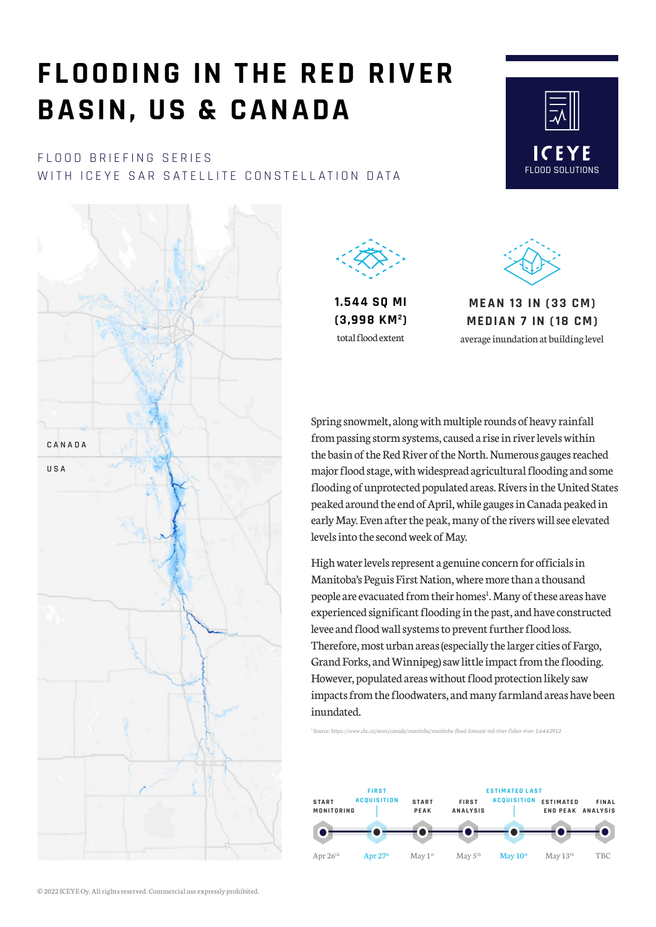# **FLOODING IN THE RED RIVER BASIN, US & CANADA**

#### FLOOD BRIEFING SERIES WITH ICEYE SAR SATELLITE CONSTELLATION DATA





**1.544 SQ MI (3,998 KM2)** total flood extent



FLOOD SOLUTIONS

ICEYE

**ME A N 13 IN (3 3 CM) MEDIA N 7 IN ( 18 CM)** 

average inundation at building level

Spring snowmelt, along with multiple rounds of heavy rainfall from passing storm systems, caused a rise in river levels within the basin of the Red River of the North. Numerous gauges reached major flood stage, with widespread agricultural flooding and some flooding of unprotected populated areas. Rivers in the United States peaked around the end of April, while gauges in Canada peaked in early May. Even after the peak, many of the rivers will see elevated levels into the second week of May.

High water levels represent a genuine concern for officials in Manitoba's Peguis First Nation, where more than a thousand people are evacuated from their homes<sup>1</sup>. Many of these areas have experienced significant flooding in the past, and have constructed levee and flood wall systems to prevent further flood loss. Therefore, most urban areas (especially the larger cities of Fargo, Grand Forks, and Winnipeg) saw little impact from the flooding. However, populated areas without flood protection likely saw impacts from the floodwaters, and many farmland areas have been inundated.

*[1 Source: https://www.cbc.ca/news/canada/manitoba/manitoba-flood-forecast-red-river-fisher-river-1.6442912](https://www.cbc.ca/news/canada/manitoba/manitoba-flood-forecast-red-river-fisher-river-1.6442912)*